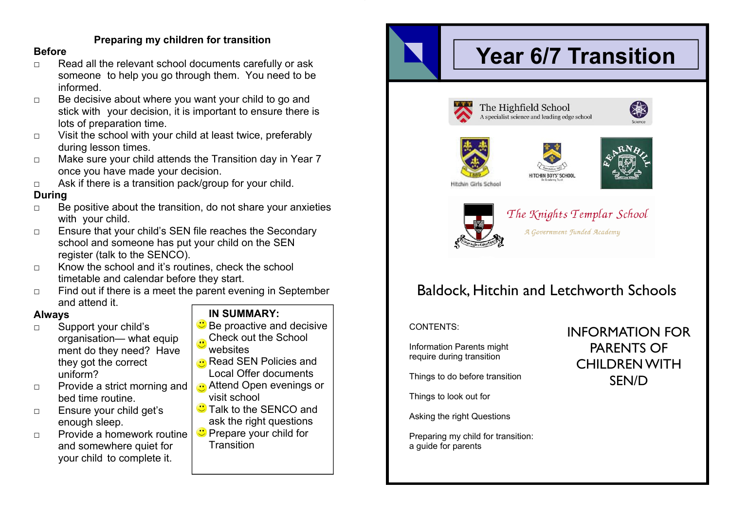#### **Preparing my children for transition**

#### **Before**

- □ Read all the relevant school documents carefully or ask someone to help you go through them. You need to be informed.
- □ Be decisive about where you want your child to go and stick with your decision, it is important to ensure there is lots of preparation time.
- □ Visit the school with your child at least twice, preferably during lesson times.
- □ Make sure your child attends the Transition day in Year 7 once you have made your decision.
- □ Ask if there is a transition pack/group for your child.

#### **During**

- □ Be positive about the transition, do not share your anxieties with your child.
- □ Ensure that your child's SEN file reaches the Secondary school and someone has put your child on the SEN register (talk to the SENCO).
- $\Box$  Know the school and it's routines, check the school timetable and calendar before they start.
- □ Find out if there is a meet the parent evening in September and attend it.

#### **Always**

- □ Support your child's organisation— what equip ment do they need? Have they got the correct uniform?
- □ Provide a strict morning and bed time routine.
- □ Ensure your child get's enough sleep.
- □ Provide a homework routine and somewhere quiet for your child to complete it.

#### **IN SUMMARY:**

- $\mathbf{\ddot{C}}$  Be proactive and decisive
- Check out the School websites
- Read SEN Policies and Local Offer documents
- **Attend Open evenings or** visit school
- **Talk to the SENCO and** ask the right questions
- **C** Prepare your child for **Transition**

# **Year 6/7 Transition**











The Knights Templar School A Government Funded Academy

# Baldock, Hitchin and Letchworth Schools

#### CONTENTS:

Information Parents might require during transition

Things to do before transition

Things to look out for

Asking the right Questions

Preparing my child for transition: a guide for parents

## INFORMATION FOR PARENTS OF CHILDREN WITH SEN/D